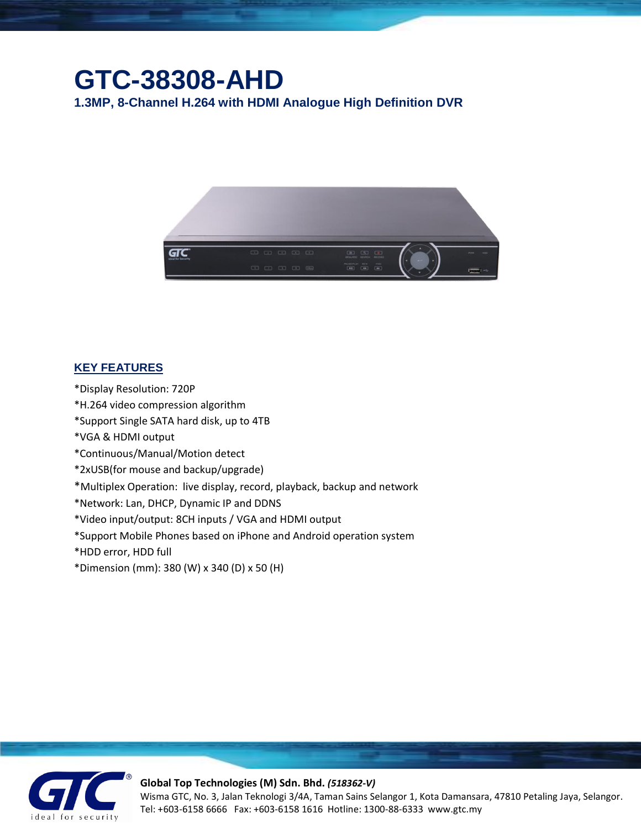## **GTC-38308-AHD**

**1.3MP, 8-Channel H.264 with HDMI Analogue High Definition DVR**



## **KEY FEATURES**

- \*Display Resolution: 720P
- \*H.264 video compression algorithm
- \*Support Single SATA hard disk, up to 4TB
- \*VGA & HDMI output
- \*Continuous/Manual/Motion detect
- \*2xUSB(for mouse and backup/upgrade)
- \*Multiplex Operation: live display, record, playback, backup and network
- \*Network: Lan, DHCP, Dynamic IP and DDNS
- \*Video input/output: 8CH inputs / VGA and HDMI output
- \*Support Mobile Phones based on iPhone and Android operation system
- \*HDD error, HDD full
- \*Dimension (mm): 380 (W) x 340 (D) x 50 (H)



## **Global Top Technologies (M) Sdn. Bhd.** *(518362-V)*

Wisma GTC, No. 3, Jalan Teknologi 3/4A, Taman Sains Selangor 1, Kota Damansara, 47810 Petaling Jaya, Selangor. Tel: +603-6158 6666 Fax: +603-6158 1616 Hotline: 1300-88-6333 www.gtc.my